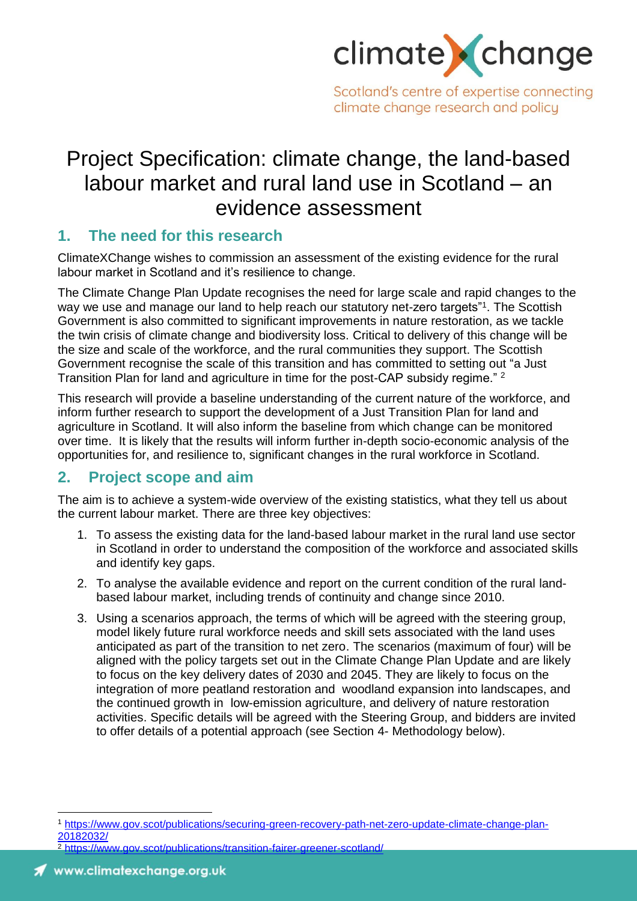

Scotland's centre of expertise connecting climate change research and policy

# Project Specification: climate change, the land-based labour market and rural land use in Scotland – an evidence assessment

### **1. The need for this research**

ClimateXChange wishes to commission an assessment of the existing evidence for the rural labour market in Scotland and it's resilience to change.

The Climate Change Plan Update recognises the need for large scale and rapid changes to the way we use and manage our land to help reach our statutory net-zero targets"<sup>1</sup> . The Scottish Government is also committed to significant improvements in nature restoration, as we tackle the twin crisis of climate change and biodiversity loss. Critical to delivery of this change will be the size and scale of the workforce, and the rural communities they support. The Scottish Government recognise the scale of this transition and has committed to setting out "a Just Transition Plan for land and agriculture in time for the post-CAP subsidy regime." <sup>2</sup>

This research will provide a baseline understanding of the current nature of the workforce, and inform further research to support the development of a Just Transition Plan for land and agriculture in Scotland. It will also inform the baseline from which change can be monitored over time. It is likely that the results will inform further in-depth socio-economic analysis of the opportunities for, and resilience to, significant changes in the rural workforce in Scotland.

# **2. Project scope and aim**

The aim is to achieve a system-wide overview of the existing statistics, what they tell us about the current labour market. There are three key objectives:

- 1. To assess the existing data for the land-based labour market in the rural land use sector in Scotland in order to understand the composition of the workforce and associated skills and identify key gaps.
- 2. To analyse the available evidence and report on the current condition of the rural landbased labour market, including trends of continuity and change since 2010.
- 3. Using a scenarios approach, the terms of which will be agreed with the steering group, model likely future rural workforce needs and skill sets associated with the land uses anticipated as part of the transition to net zero. The scenarios (maximum of four) will be aligned with the policy targets set out in the Climate Change Plan Update and are likely to focus on the key delivery dates of 2030 and 2045. They are likely to focus on the integration of more peatland restoration and woodland expansion into landscapes, and the continued growth in low-emission agriculture, and delivery of nature restoration activities. Specific details will be agreed with the Steering Group, and bidders are invited to offer details of a potential approach (see Section 4- Methodology below).



 $\overline{a}$ 

<sup>1</sup> [https://www.gov.scot/publications/securing-green-recovery-path-net-zero-update-climate-change-plan-](https://www.gov.scot/publications/securing-green-recovery-path-net-zero-update-climate-change-plan-20182032/)[20182032/](https://www.gov.scot/publications/securing-green-recovery-path-net-zero-update-climate-change-plan-20182032/)

 $\frac{2 \text{ https://www..gov. scot/nuthlications/transition-faire-greater-greater, cordland/}}{2 \text{ https://www..gov. scot/nuthlications/transition-faire-greater-screen.}$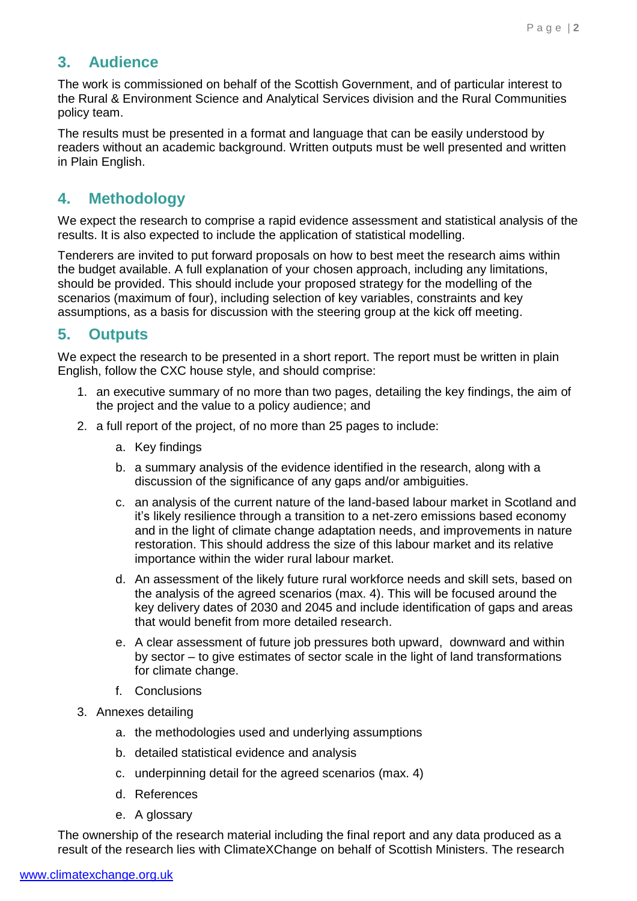# **3. Audience**

The work is commissioned on behalf of the Scottish Government, and of particular interest to the Rural & Environment Science and Analytical Services division and the Rural Communities policy team.

The results must be presented in a format and language that can be easily understood by readers without an academic background. Written outputs must be well presented and written in Plain English.

# **4. Methodology**

We expect the research to comprise a rapid evidence assessment and statistical analysis of the results. It is also expected to include the application of statistical modelling.

Tenderers are invited to put forward proposals on how to best meet the research aims within the budget available. A full explanation of your chosen approach, including any limitations, should be provided. This should include your proposed strategy for the modelling of the scenarios (maximum of four), including selection of key variables, constraints and key assumptions, as a basis for discussion with the steering group at the kick off meeting.

# **5. Outputs**

We expect the research to be presented in a short report. The report must be written in plain English, follow the CXC house style, and should comprise:

- 1. an executive summary of no more than two pages, detailing the key findings, the aim of the project and the value to a policy audience; and
- 2. a full report of the project, of no more than 25 pages to include:
	- a. Key findings
	- b. a summary analysis of the evidence identified in the research, along with a discussion of the significance of any gaps and/or ambiguities.
	- c. an analysis of the current nature of the land-based labour market in Scotland and it's likely resilience through a transition to a net-zero emissions based economy and in the light of climate change adaptation needs, and improvements in nature restoration. This should address the size of this labour market and its relative importance within the wider rural labour market.
	- d. An assessment of the likely future rural workforce needs and skill sets, based on the analysis of the agreed scenarios (max. 4). This will be focused around the key delivery dates of 2030 and 2045 and include identification of gaps and areas that would benefit from more detailed research.
	- e. A clear assessment of future job pressures both upward, downward and within by sector – to give estimates of sector scale in the light of land transformations for climate change.
	- f. Conclusions
- 3. Annexes detailing
	- a. the methodologies used and underlying assumptions
	- b. detailed statistical evidence and analysis
	- c. underpinning detail for the agreed scenarios (max. 4)
	- d. References
	- e. A glossary

The ownership of the research material including the final report and any data produced as a result of the research lies with ClimateXChange on behalf of Scottish Ministers. The research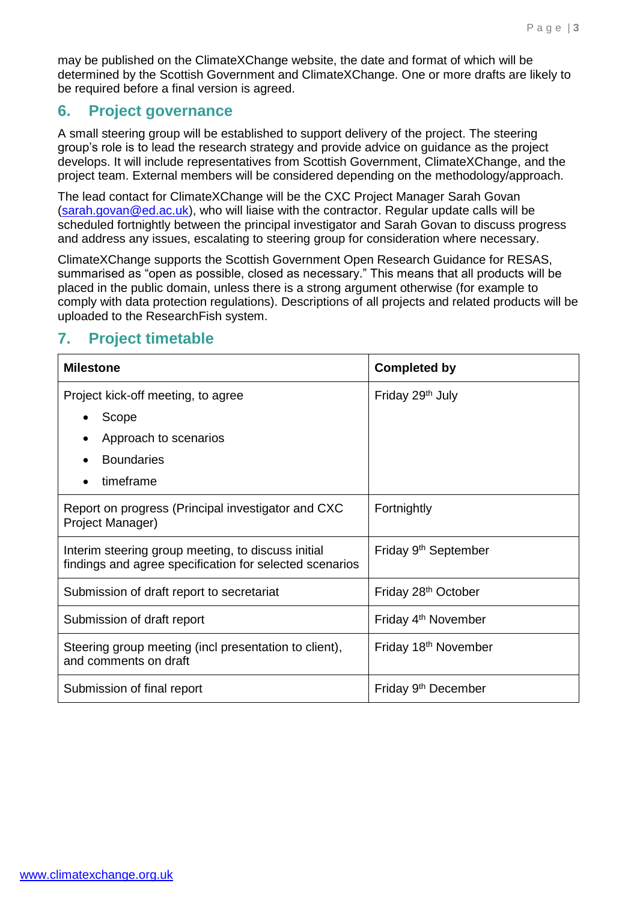may be published on the ClimateXChange website, the date and format of which will be determined by the Scottish Government and ClimateXChange. One or more drafts are likely to be required before a final version is agreed.

#### **6. Project governance**

A small steering group will be established to support delivery of the project. The steering group's role is to lead the research strategy and provide advice on guidance as the project develops. It will include representatives from Scottish Government, ClimateXChange, and the project team. External members will be considered depending on the methodology/approach.

The lead contact for ClimateXChange will be the CXC Project Manager Sarah Govan [\(sarah.govan@ed.ac.uk\)](mailto:sarah.govan@ed.ac.uk), who will liaise with the contractor. Regular update calls will be scheduled fortnightly between the principal investigator and Sarah Govan to discuss progress and address any issues, escalating to steering group for consideration where necessary.

ClimateXChange supports the Scottish Government Open Research Guidance for RESAS, summarised as "open as possible, closed as necessary." This means that all products will be placed in the public domain, unless there is a strong argument otherwise (for example to comply with data protection regulations). Descriptions of all projects and related products will be uploaded to the ResearchFish system.

# **7. Project timetable**

| <b>Milestone</b>                                                                                              | <b>Completed by</b>              |
|---------------------------------------------------------------------------------------------------------------|----------------------------------|
| Project kick-off meeting, to agree                                                                            | Friday 29th July                 |
| Scope                                                                                                         |                                  |
| Approach to scenarios                                                                                         |                                  |
| <b>Boundaries</b>                                                                                             |                                  |
| timeframe                                                                                                     |                                  |
| Report on progress (Principal investigator and CXC<br>Project Manager)                                        | Fortnightly                      |
| Interim steering group meeting, to discuss initial<br>findings and agree specification for selected scenarios | Friday 9 <sup>th</sup> September |
| Submission of draft report to secretariat                                                                     | Friday 28 <sup>th</sup> October  |
| Submission of draft report                                                                                    | Friday 4 <sup>th</sup> November  |
| Steering group meeting (incl presentation to client),<br>and comments on draft                                | Friday 18 <sup>th</sup> November |
| Submission of final report                                                                                    | Friday 9 <sup>th</sup> December  |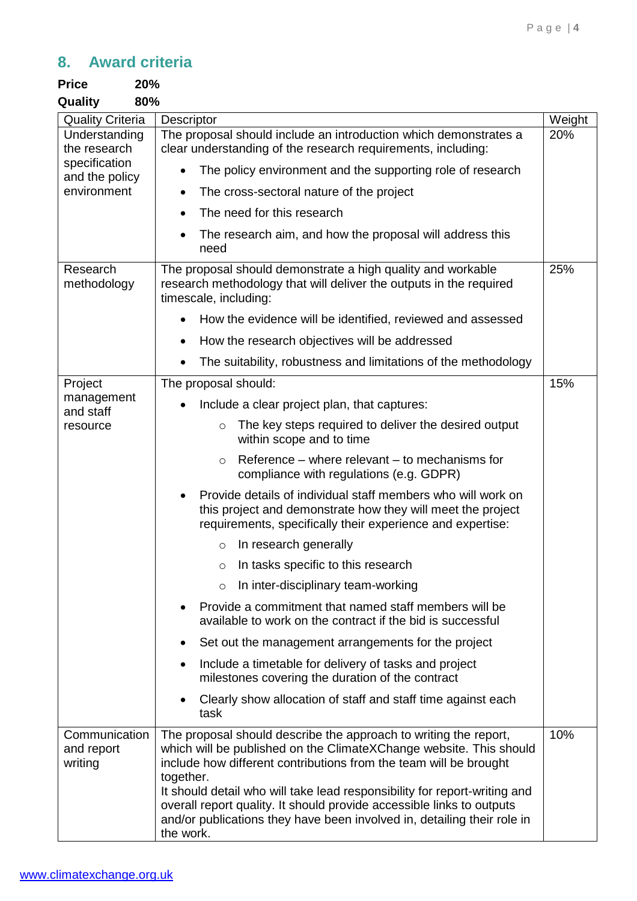# **8. Award criteria**

| <b>Price</b>                                                                    | 20%                                                                                                                                                                                                                                                                                                                                                                            |        |
|---------------------------------------------------------------------------------|--------------------------------------------------------------------------------------------------------------------------------------------------------------------------------------------------------------------------------------------------------------------------------------------------------------------------------------------------------------------------------|--------|
| Quality                                                                         | 80%                                                                                                                                                                                                                                                                                                                                                                            |        |
| <b>Quality Criteria</b>                                                         | <b>Descriptor</b>                                                                                                                                                                                                                                                                                                                                                              | Weight |
| Understanding<br>the research<br>specification<br>and the policy<br>environment | The proposal should include an introduction which demonstrates a<br>clear understanding of the research requirements, including:                                                                                                                                                                                                                                               | 20%    |
|                                                                                 | The policy environment and the supporting role of research<br>$\bullet$                                                                                                                                                                                                                                                                                                        |        |
|                                                                                 | The cross-sectoral nature of the project<br>$\bullet$                                                                                                                                                                                                                                                                                                                          |        |
|                                                                                 | The need for this research<br>$\bullet$                                                                                                                                                                                                                                                                                                                                        |        |
|                                                                                 | The research aim, and how the proposal will address this<br>need                                                                                                                                                                                                                                                                                                               |        |
| Research<br>methodology                                                         | The proposal should demonstrate a high quality and workable<br>research methodology that will deliver the outputs in the required<br>timescale, including:                                                                                                                                                                                                                     | 25%    |
|                                                                                 | How the evidence will be identified, reviewed and assessed                                                                                                                                                                                                                                                                                                                     |        |
|                                                                                 | How the research objectives will be addressed<br>$\bullet$                                                                                                                                                                                                                                                                                                                     |        |
|                                                                                 | The suitability, robustness and limitations of the methodology<br>$\bullet$                                                                                                                                                                                                                                                                                                    |        |
| Project                                                                         | The proposal should:                                                                                                                                                                                                                                                                                                                                                           | 15%    |
| management<br>and staff                                                         | Include a clear project plan, that captures:                                                                                                                                                                                                                                                                                                                                   |        |
| resource                                                                        | The key steps required to deliver the desired output<br>$\circ$<br>within scope and to time                                                                                                                                                                                                                                                                                    |        |
|                                                                                 | Reference – where relevant – to mechanisms for<br>$\circ$<br>compliance with regulations (e.g. GDPR)                                                                                                                                                                                                                                                                           |        |
|                                                                                 | Provide details of individual staff members who will work on<br>this project and demonstrate how they will meet the project<br>requirements, specifically their experience and expertise:                                                                                                                                                                                      |        |
|                                                                                 | In research generally<br>$\circ$                                                                                                                                                                                                                                                                                                                                               |        |
|                                                                                 | In tasks specific to this research<br>$\circ$                                                                                                                                                                                                                                                                                                                                  |        |
|                                                                                 | In inter-disciplinary team-working<br>$\circ$                                                                                                                                                                                                                                                                                                                                  |        |
|                                                                                 | Provide a commitment that named staff members will be<br>available to work on the contract if the bid is successful                                                                                                                                                                                                                                                            |        |
|                                                                                 | Set out the management arrangements for the project                                                                                                                                                                                                                                                                                                                            |        |
|                                                                                 | Include a timetable for delivery of tasks and project<br>$\bullet$<br>milestones covering the duration of the contract                                                                                                                                                                                                                                                         |        |
|                                                                                 | Clearly show allocation of staff and staff time against each<br>task                                                                                                                                                                                                                                                                                                           |        |
| Communication<br>and report<br>writing                                          | The proposal should describe the approach to writing the report,<br>which will be published on the ClimateXChange website. This should<br>include how different contributions from the team will be brought<br>together.<br>It should detail who will take lead responsibility for report-writing and<br>overall report quality. It should provide accessible links to outputs | 10%    |
|                                                                                 | and/or publications they have been involved in, detailing their role in<br>the work.                                                                                                                                                                                                                                                                                           |        |